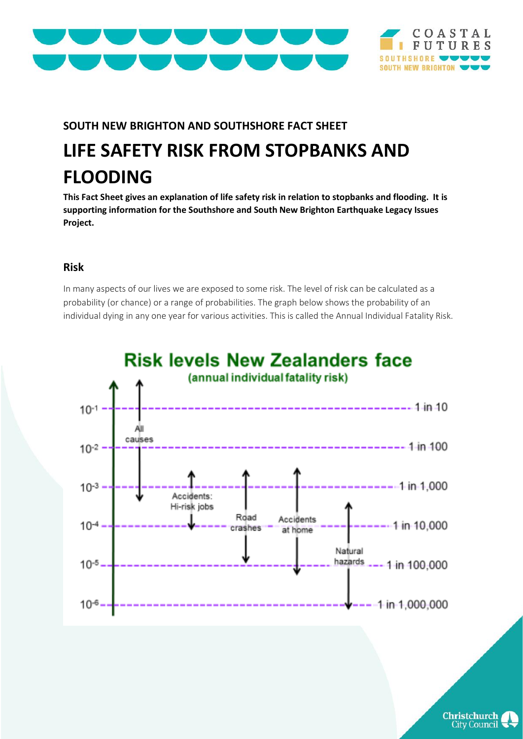



## **SOUTH NEW BRIGHTON AND SOUTHSHORE FACT SHEET**

# **LIFE SAFETY RISK FROM STOPBANKS AND FLOODING**

**This Fact Sheet gives an explanation of life safety risk in relation to stopbanks and flooding. It is supporting information for the Southshore and South New Brighton Earthquake Legacy Issues Project.** 

#### **Risk**

In many aspects of our lives we are exposed to some risk. The level of risk can be calculated as a probability (or chance) or a range of probabilities. The graph below shows the probability of an individual dying in any one year for various activities. This is called the Annual Individual Fatality Risk.



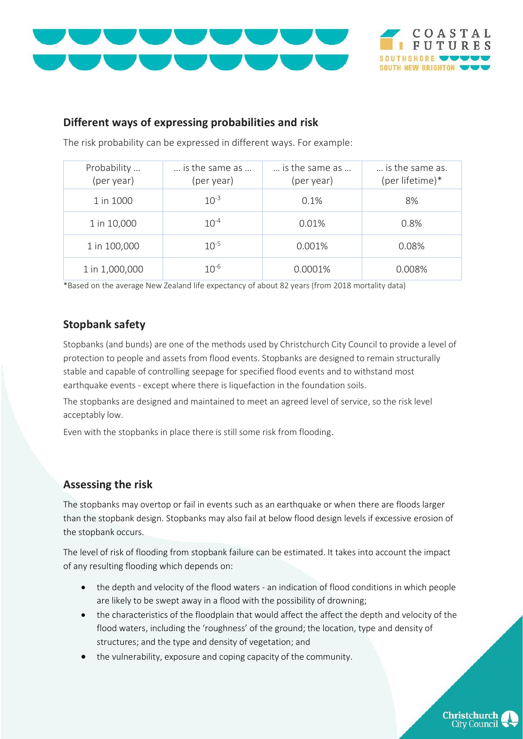



### **Different ways of expressing probabilities and risk**

The risk probability can be expressed in different ways. For example:

| Probability<br>(per year) | is the same as<br>(per year) | is the same as<br>(per year) | is the same as.<br>(per lifetime)* |
|---------------------------|------------------------------|------------------------------|------------------------------------|
| 1 in 1000                 | $10^{-3}$                    | 0.1%                         | 8%                                 |
| 1 in 10,000               | $10^{-4}$                    | 0.01%                        | 0.8%                               |
| 1 in 100,000              | $10^{-5}$                    | 0.001%                       | 0.08%                              |
| 1 in 1,000,000            | $10^{-6}$                    | 0.0001%                      | 0.008%                             |

\*Based on the average New Zealand life expectancy of about 82 years (from 2018 mortality data)

## **Stopbank safety**

Stopbanks (and bunds) are one of the methods used by Christchurch City Council to provide a level of protection to people and assets from flood events. Stopbanks are designed to remain structurally stable and capable of controlling seepage for specified flood events and to withstand most earthquake events - except where there is liquefaction in the foundation soils.

The stopbanks are designed and maintained to meet an agreed level of service, so the risk level acceptably low.

Even with the stopbanks in place there is still some risk from flooding.

## **Assessing the risk**

The stopbanks may overtop or fail in events such as an earthquake or when there are floods larger than the stopbank design. Stopbanks may also fail at below flood design levels if excessive erosion of the stopbank occurs.

The level of risk of flooding from stopbank failure can be estimated. It takes into account the impact of any resulting flooding which depends on:

- the depth and velocity of the flood waters an indication of flood conditions in which people are likely to be swept away in a flood with the possibility of drowning;
- the characteristics of the floodplain that would affect the affect the depth and velocity of the flood waters, including the 'roughness' of the ground; the location, type and density of structures; and the type and density of vegetation; and
- the vulnerability, exposure and coping capacity of the community.

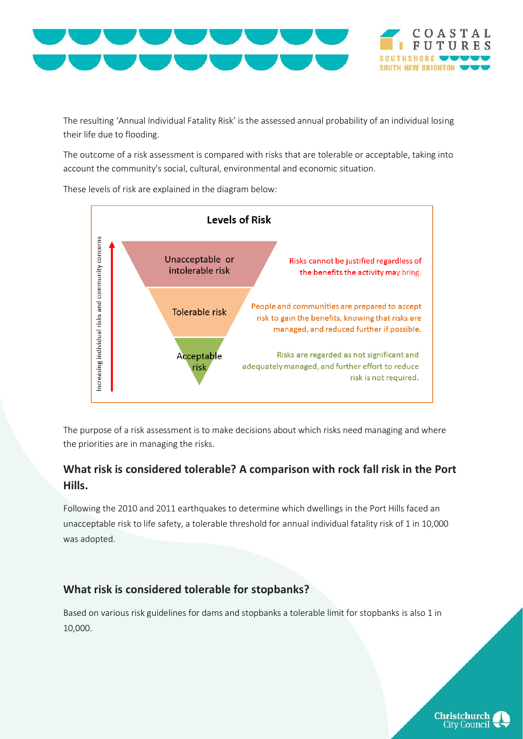



The resulting 'Annual Individual Fatality Risk' is the assessed annual probability of an individual losing their life due to flooding.

The outcome of a risk assessment is compared with risks that are tolerable or acceptable, taking into account the community's social, cultural, environmental and economic situation.

These levels of risk are explained in the diagram below:



The purpose of a risk assessment is to make decisions about which risks need managing and where the priorities are in managing the risks.

## **What risk is considered tolerable? A comparison with rock fall risk in the Port Hills.**

Following the 2010 and 2011 earthquakes to determine which dwellings in the Port Hills faced an unacceptable risk to life safety, a tolerable threshold for annual individual fatality risk of 1 in 10,000 was adopted.

#### **What risk is considered tolerable for stopbanks?**

Based on various risk guidelines for dams and stopbanks a tolerable limit for stopbanks is also 1 in 10,000.

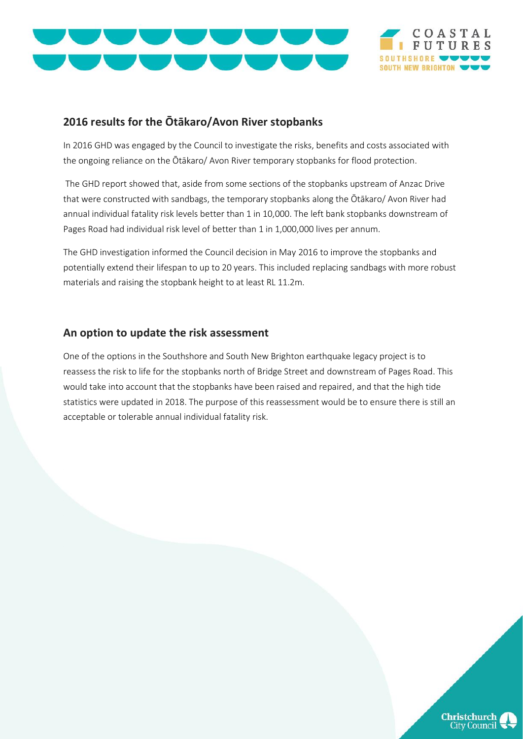



### **2016 results for the Ōtākaro/Avon River stopbanks**

In 2016 GHD was engaged by the Council to investigate the risks, benefits and costs associated with the ongoing reliance on the Ōtākaro/ Avon River temporary stopbanks for flood protection.

The GHD report showed that, aside from some sections of the stopbanks upstream of Anzac Drive that were constructed with sandbags, the temporary stopbanks along the Ōtākaro/ Avon River had annual individual fatality risk levels better than 1 in 10,000. The left bank stopbanks downstream of Pages Road had individual risk level of better than 1 in 1,000,000 lives per annum.

The GHD investigation informed the Council decision in May 2016 to improve the stopbanks and potentially extend their lifespan to up to 20 years. This included replacing sandbags with more robust materials and raising the stopbank height to at least RL 11.2m.

#### **An option to update the risk assessment**

One of the options in the Southshore and South New Brighton earthquake legacy project is to reassess the risk to life for the stopbanks north of Bridge Street and downstream of Pages Road. This would take into account that the stopbanks have been raised and repaired, and that the high tide statistics were updated in 2018. The purpose of this reassessment would be to ensure there is still an acceptable or tolerable annual individual fatality risk.